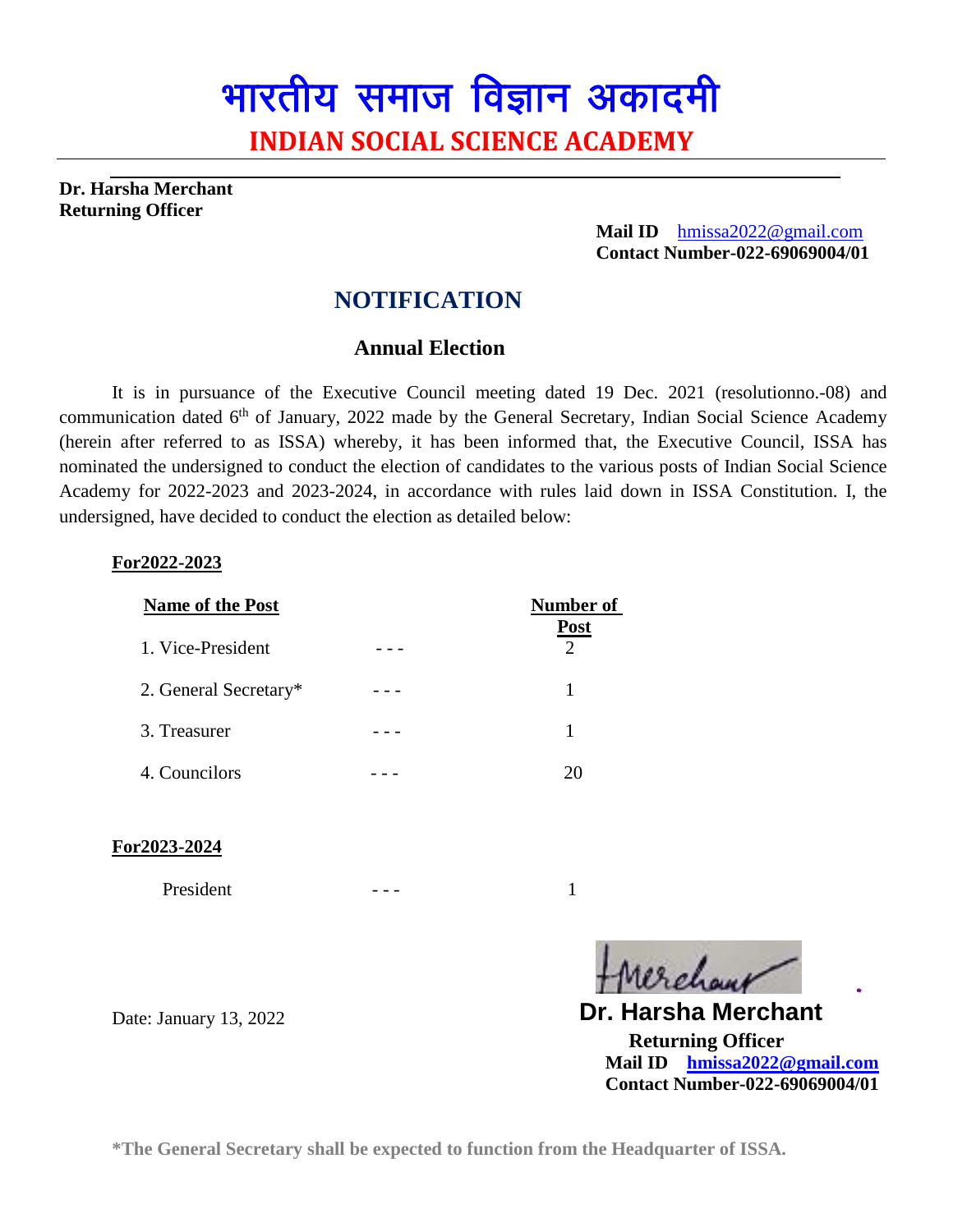# भारतीय समाज विज्ञान अकादमी **INDIAN SOCIAL SCIENCE ACADEMY**

**Dr. Harsha Merchant Returning Officer**

> **Mail ID** [hmissa2022@gmail.com](mailto:hmissa2022@gmail.com)  **Contact Number-022-69069004/01**

## **NOTIFICATION**

### **Annual Election**

It is in pursuance of the Executive Council meeting dated 19 Dec. 2021 (resolutionno.-08) and communication dated 6<sup>th</sup> of January, 2022 made by the General Secretary, Indian Social Science Academy (herein after referred to as ISSA) whereby, it has been informed that, the Executive Council, ISSA has nominated the undersigned to conduct the election of candidates to the various posts of Indian Social Science Academy for 2022-2023 and 2023-2024, in accordance with rules laid down in ISSA Constitution. I, the undersigned, have decided to conduct the election as detailed below:

#### **For2022-2023**

| <b>Name of the Post</b> | Number of                                  |
|-------------------------|--------------------------------------------|
| 1. Vice-President       | <b>Post</b><br>$\mathcal{D}_{\mathcal{A}}$ |
| 2. General Secretary*   |                                            |
| 3. Treasurer            |                                            |
| 4. Councilors           | 20                                         |

**For2023-2024**

President  $-$  -  $-$  1

12 chave

 **Returning Officer Mail ID [hmissa2022@gmail.com](mailto:hmissa2022@gmail.com) Contact Number-022-69069004/01 Dr. Harsha Merchant**

Date: January 13, 2022

**\*The General Secretary shall be expected to function from the Headquarter of ISSA.**